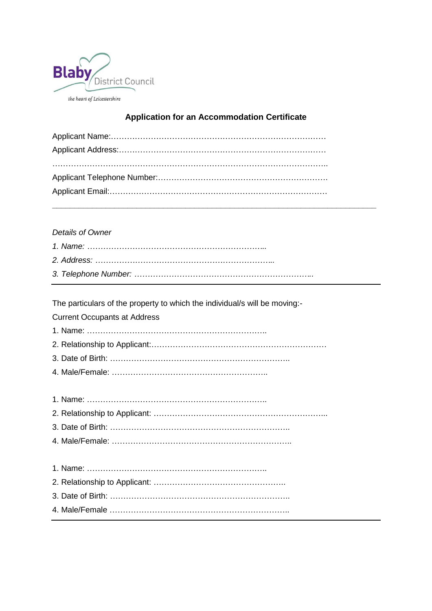

## **Application for an Accommodation Certificate**

## *Details of Owner*

The particulars of the property to which the individual/s will be moving:-

Current Occupants at Address

1. Name: …………………………………………………………..

2. Relationship to Applicant:…………………………………………………………

- 3. Date of Birth: …………………………………………………………..
- 4. Male/Female: …………………………………………………..

1. Name: ………………………………………………………….. 2. Relationship to Applicant: ………………………………………….. 3. Date of Birth: ………………………………………………………….. 4. Male/Female …………………………………………………………..